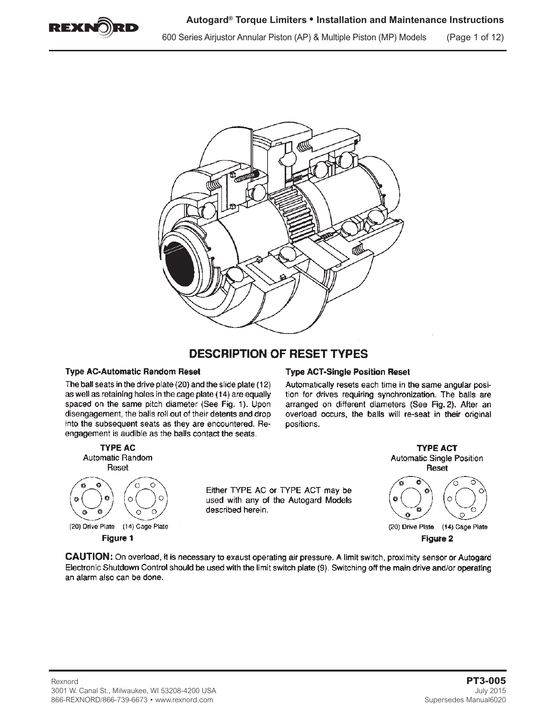

600 Series Airjustor Annular Piston (AP) & Multiple Piston (MP) Models (Page 1 of 12)



# **DESCRIPTION OF RESET TYPES**

#### **Type AC-Automatic Random Reset**

The ball seats in the drive plate (20) and the slide plate (12) as well as retaining holes in the cage plate (14) are equally spaced on the same pitch diameter (See Fig. 1). Upon disengagement, the balls roll out of their detents and drop into the subsequent seats as they are encountered. Reengagement is audible as the balls contact the seats.



Automatically resets each time in the same angular position for drives requiring synchronization. The balls are arranged on different diameters (See Fig. 2). After an overload occurs, the balls will re-seat in their original positions.



Figure 1

used with any of the Autogard Models described herein.

**TYPE ACT Automatic Single Position** Reset



(20) Drive Plate (14) Cage Plate Figure 2

CAUTION: On overload, it is necessary to exaust operating air pressure. A limit switch, proximity sensor or Autogard Electronic Shutdown Control should be used with the limit switch plate (9). Switching off the main drive and/or operating an alarm also can be done.

Either TYPE AC or TYPE ACT may be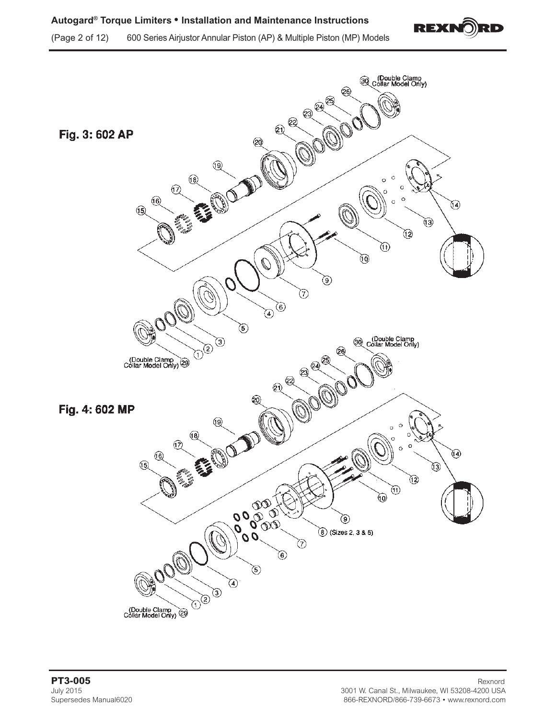

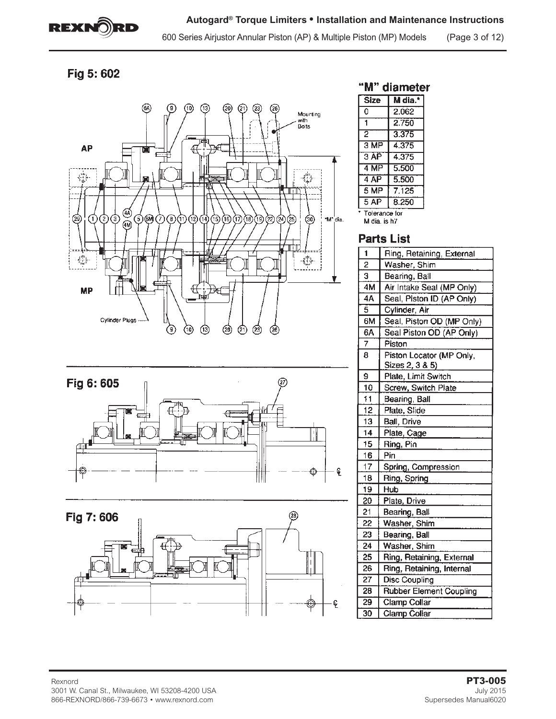

600 Series Airjustor Annular Piston (AP) & Multiple Piston (MP) Models (Page 3 of 12)

# Fig 5:602







# "M" diameter

| <b>Size</b>                   | M dia.* |  |  |  |
|-------------------------------|---------|--|--|--|
| ٥                             | 2.062   |  |  |  |
| 1                             | 2.750   |  |  |  |
| $\overline{2}$                | 3.375   |  |  |  |
| $3 \overline{\mathsf{MP}}$    | 4.375   |  |  |  |
| 3AP                           | 4.375   |  |  |  |
| 4 MP                          | 5.500   |  |  |  |
| 4AP                           | 5.500   |  |  |  |
| 5 MP                          | 7.125   |  |  |  |
| 5AP                           | 8.250   |  |  |  |
| Tolerance for<br>M dia. is h7 |         |  |  |  |

## **Parts List**

| 1               | Ring, Retaining, External      |
|-----------------|--------------------------------|
| 2               | Washer, Shim                   |
| 3               | Bearing, Ball                  |
| 4M              | Air Intake Seal (MP Only)      |
| 4A              | Seal, Piston ID (AP Only)      |
| $\bar{5}$       | Cylinder, Air                  |
| 6М              | Seal, Piston OD (MP Only)      |
| 6A              | Seal Piston OD (AP Only)       |
| 7               | Piston                         |
| 8               | Piston Locator (MP Only,       |
|                 | <u>Sizes 2, 3 &amp; 5)</u>     |
| 9               | Plate, Limit Switch            |
| 10              | Screw, Switch Plate            |
| 11              | Bearing, Ball                  |
| $\overline{12}$ | Plate, Slide                   |
| 13              | Ball, Drive                    |
| 14              | Plate, Cage                    |
| 15              | Ring, Pin                      |
| 16              | Pin                            |
| $\overline{17}$ | Spring, Compression            |
| 18              | Ring, Spring                   |
| 19              | Hub                            |
| 20              | Plate, Drive                   |
| 21              | Bearing, Ball                  |
| 22              | Washer, Shim                   |
| 23              | Bearing, Ball                  |
| 24              | Washer, Shim                   |
| 25              | Ring, Retaining, External      |
| 26              | Ring, Retaining, Internal      |
| 27              | <b>Disc Coupling</b>           |
| 28              | <b>Rubber Element Coupling</b> |
| 29              | <b>Clamp Collar</b>            |
| 30              | Clamp Collar                   |
|                 |                                |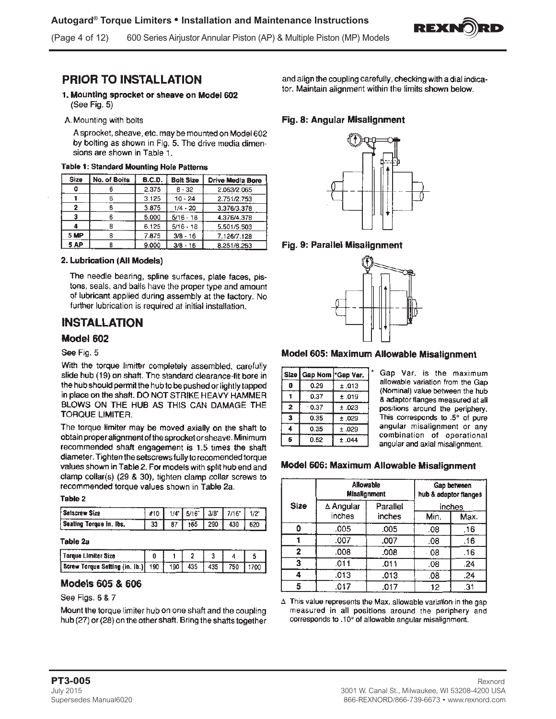

(Page 4 of 12) 600 Series Airjustor Annular Piston (AP) & Multiple Piston (MP) Models

# **PRIOR TO INSTALLATION**

- 1. Mounting sprocket or sheave on Model 602 (See Fig. 5)
- A. Mounting with bolts

A sprocket, sheave, etc. may be mounted on Model 602 by bolting as shown in Fig. 5. The drive media dimensions are shown in Table 1.

| Size | No. of Boits | <b>B.C.D.</b> | <b>Bolt Size</b>         | Drive Media Bore |  |  |  |
|------|--------------|---------------|--------------------------|------------------|--|--|--|
| 0    |              | 2.375         | $8 - 32$                 | 2.063/2.065      |  |  |  |
|      | 6            | 3.125         | $10 - 24$<br>2.751/2.753 |                  |  |  |  |
| 2    | 6            | 3.875         | $1/4 - 20$               | 3.376/3.378      |  |  |  |
| 3    | 6            | 5.000         | $5/16 - 18$              | 4.376/4.378      |  |  |  |
|      | 8            | 6.125         | $5/16 - 18$              | 5.501/5.503      |  |  |  |
| 5 MP | 8            | 7.875         | $3/8 - 16$               | 7.126/7.128      |  |  |  |
| 5 AP | 8            | 9.000         | $3/8 - 16$               | 8.251/8.253      |  |  |  |

#### 2. Lubrication (All Models)

The needle bearing, spline surfaces, plate faces, pistons, seals, and balls have the proper type and amount of lubricant applied during assembly at the factory. No further lubrication is required at initial installation.

# **INSTALLATION**

#### Model 602

#### See Fig. 5

With the torque limiter completely assembled, carefully slide hub (19) on shaft. The standard clearance-fit bore in the hub should permit the hub to be pushed or lightly tapped in place on the shaft. DO NOT STRIKE HEAVY HAMMER BLOWS ON THE HUB AS THIS CAN DAMAGE THE **TORQUE LIMITER.** 

The torque limiter may be moved axially on the shaft to obtain proper alignment of the sprocket or sheave. Minimum recommended shaft engagement is 1.5 times the shaft diameter. Tighten the setscrews fully to recomended torque values shown in Table 2. For models with split hub end and clamp collar(s) (29 & 30), tighten clamp collar screws to recommended torque values shown in Table 2a.

#### Table 2

| l Seiscrew Size         |    |  | #10   1/4   5/16   3/8   7/16   1/2 |     |
|-------------------------|----|--|-------------------------------------|-----|
| Seating Torque in. Ibs. | 33 |  | 165   290   430                     | 620 |

#### Table 2a

| Torque Limiter Size                       |  |     |     |     |        |
|-------------------------------------------|--|-----|-----|-----|--------|
| Screw Torque Setting (in. ib.)  190   190 |  | 435 | 435 | 750 | 1700 L |

## Models 605 & 606

### See Figs. 6 & 7

Mount the torque limiter hub on one shaft and the coupling hub (27) or (28) on the other shaft. Bring the shafts together and align the coupling carefully, checking with a dial indicator. Maintain alignment within the limits shown below.

## Fig. 8: Angular Misalignment



### Fig. 9: Parallel Misalignment



#### Model 605: Maximum Allowable Misalignment

| Size           | Gap Nom <sup>*</sup> Gap Var. |       |
|----------------|-------------------------------|-------|
| 0              | 0.29                          | ±.013 |
|                | 0.37                          | ±.019 |
| $\overline{2}$ | 0.37                          | ±.023 |
| 3              | 0.35                          | ±.029 |
| 4              | 0.35                          | ±.029 |
| 5              | 0.52                          | ±.044 |

Gap Var. is the maximum allowable variation from the Gap (Nominal) value between the hub & adaptor flanges measured at all positions around the periphery. This corresponds to .5° of pure angular misalignment or any combination of operational angular and axial misalignment.

#### Model 606: Maximum Allowable Misalignment

|             | Allowable<br><b>Misalignment</b> |          | Gap between<br>hub & adaptor flanges |        |  |
|-------------|----------------------------------|----------|--------------------------------------|--------|--|
| <b>Size</b> | $\Delta$ Angular                 | Parallel |                                      | inches |  |
|             | inches                           | inches   | Min.                                 | Max.   |  |
| 0           | .005                             | .005     | .08                                  | .16    |  |
|             | .007                             | .007     | .08                                  | .16    |  |
| 2           | .008                             | .008     | .08                                  | .16    |  |
| 3           | .011                             | .011     | .08                                  | .24    |  |
| 4           | .013                             | .013     | .08                                  | .24    |  |
| 5           | .017                             | .017     | .12                                  | .31    |  |

 $\Delta$  This value represents the Max. allowable variation in the gap measured in all positions around the periphery and corresponds to .10° of allowable angular misalignment.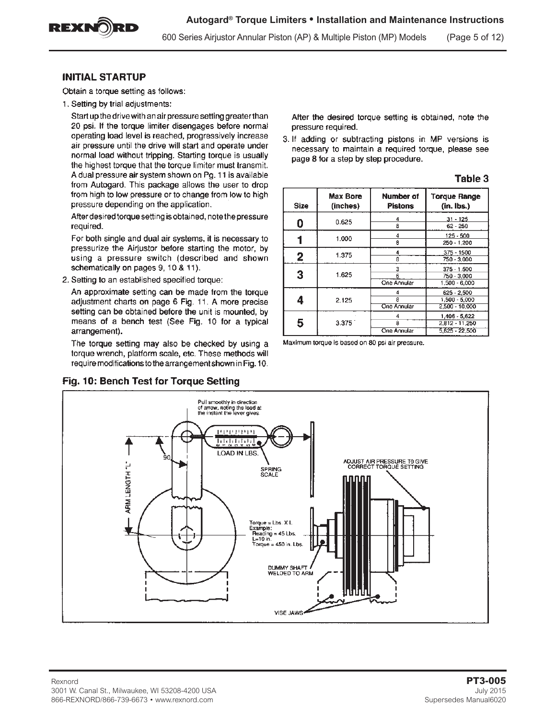

600 Series Airjustor Annular Piston (AP) & Multiple Piston (MP) Models (Page 5 of 12)

#### **INITIAL STARTUP**

Obtain a torque setting as follows:

1. Setting by trial adjustments:

Start up the drive with an air pressure setting greater than 20 psi. If the torque limiter disengages before normal operating load level is reached, progressively increase air pressure until the drive will start and operate under normal load without tripping. Starting torque is usually the highest torque that the torque limiter must transmit. A dual pressure air system shown on Pg. 11 is available from Autogard. This package allows the user to drop from high to low pressure or to change from low to high pressure depending on the application.

After desired torque setting is obtained, note the pressure required.

For both single and dual air systems, it is necessary to pressurize the Airjustor before starting the motor, by using a pressure switch (described and shown schematically on pages 9, 10 & 11).

2. Setting to an established specified torque:

An approximate setting can be made from the torque adjustment charts on page 6 Fig. 11. A more precise setting can be obtained before the unit is mounted, by means of a bench test (See Fig. 10 for a typical arrangement).

The torque setting may also be checked by using a torque wrench, platform scale, etc. These methods will require modifications to the arrangement shown in Fig. 10.

### Fig. 10: Bench Test for Torque Setting

After the desired torque setting is obtained, note the pressure required.

3. If adding or subtracting pistons in MP versions is necessary to maintain a required torque, please see page 8 for a step by step procedure.

| <b>Size</b> | <b>Max Bore</b><br>(inches) | <b>Number of</b><br><b>Pistons</b> | <b>Torque Range</b><br>$(in.$ lbs.)                 |
|-------------|-----------------------------|------------------------------------|-----------------------------------------------------|
| 0           | 0.625                       | 4<br>8                             | $31 - 125$<br>$62 - 250$                            |
|             | 1.000                       | 4<br>8                             | 125 - 500<br>250 - 1,200                            |
| 2           | 1.375                       | 4<br>8                             | $375 - 1500$<br>750 - 3,000                         |
| 3           | 1.625                       | 3<br>6<br>One Annular              | $375 - 1.500$<br>750 - 3,000<br>1,500 - 6,000       |
| 4           | 2.125                       | 4<br>8<br>One Annular              | 625 - 2.500<br>1,500 - 5,000<br>2,500 - 10,000      |
| 5           | 3.375                       | 8<br>One Annular                   | 1.406 - 5,622<br>2.812 - 11.250<br>$5.625 - 22.500$ |

Table 3

Maximum torque is based on 80 psi air pressure.

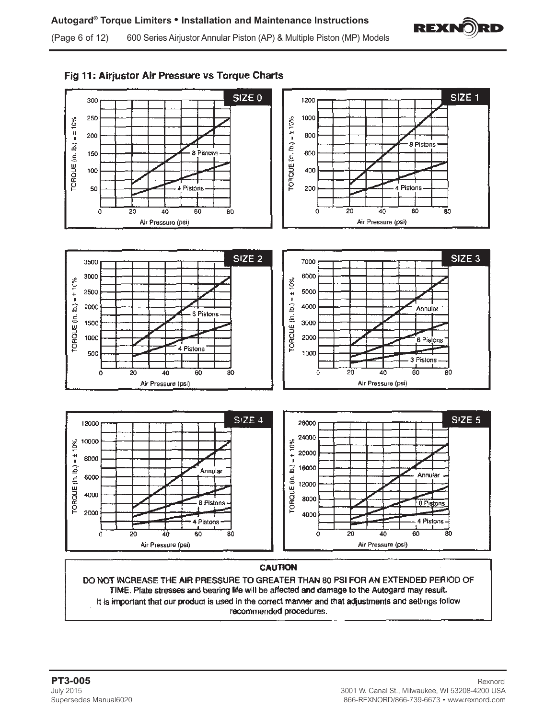





It is important that our product is used in the correct manner and that adjustments and settings follow recommended procedures.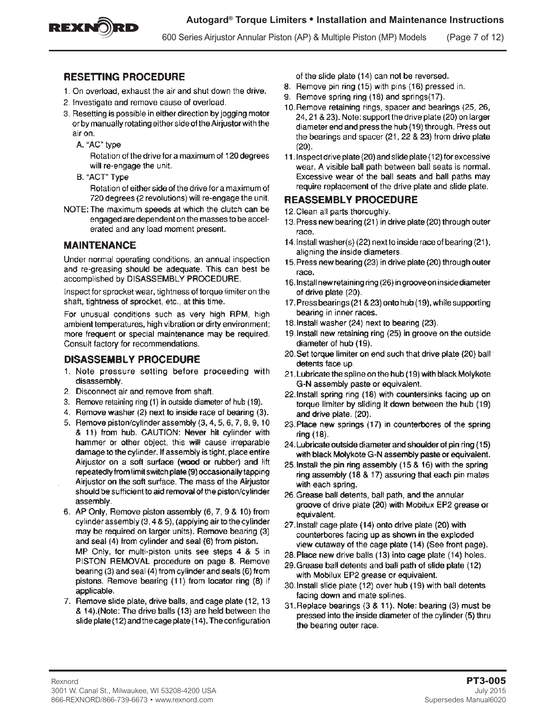

600 Series Airjustor Annular Piston (AP) & Multiple Piston (MP) Models (Page 7 of 12)

## **RESETTING PROCEDURE**

- 1. On overload, exhaust the air and shut down the drive.
- 2. Investigate and remove cause of overload.
- 3. Resetting is possible in either direction by jogging motor or by manually rotating either side of the Airjustor with the air on.
	- A. "AC" type

Rotation of the drive for a maximum of 120 degrees will re-engage the unit.

B. "ACT" Type

Rotation of either side of the drive for a maximum of 720 degrees (2 revolutions) will re-engage the unit.

NOTE: The maximum speeds at which the clutch can be engaged are dependent on the masses to be accelerated and any load moment present.

## **MAINTENANCE**

Under normal operating conditions, an annual inspection and re-greasing should be adequate. This can best be accomplished by DISASSEMBLY PROCEDURE.

Inspect for sprocket wear, tightness of torque limiter on the shaft, tightness of sprocket, etc., at this time.

For unusual conditions such as very high RPM, high ambient temperatures, high vibration or dirty environment; more frequent or special maintenance may be required. Consult factory for recommendations.

### DISASSEMBLY PROCEDURE

- 1. Note pressure setting before proceeding with disassembly.
- 2. Disconnect air and remove from shaft.
- 3. Remove retaining ring (1) in outside diameter of hub (19).
- 4. Remove washer (2) next to inside race of bearing (3).
- 5. Remove piston/cylinder assembly (3, 4, 5, 6, 7, 8, 9, 10) & 11) from hub. CAUTION: Never hit cylinder with hammer or other object, this will cause irreparable damage to the cylinder. If assembly is tight, place entire Airjustor on a soft surface (wood or rubber) and lift repeatedly from limit switch plate (9) occasionally tapping Airjustor on the soft surface. The mass of the Airjustor should be sufficient to aid removal of the piston/cylinder assembly.
- 6. AP Only, Remove piston assembly (6, 7, 9 & 10) from cylinder assembly (3, 4 & 5), (applying air to the cylinder may be required on larger units). Remove bearing (3) and seal (4) from cylinder and seal (6) from piston. MP Only, for multi-piston units see steps 4 & 5 in PISTON REMOVAL procedure on page 8. Remove bearing (3) and seal (4) from cylinder and seals (6) from pistons. Remove bearing (11) from locator ring (8) if applicable.
- 7. Remove slide plate, drive balls, and cage plate (12, 13 & 14). (Note: The drive balls (13) are held between the slide plate (12) and the cage plate (14). The configuration

of the slide plate (14) can not be reversed.

- 8. Remove pin ring (15) with pins (16) pressed in.
- 9. Remove spring ring (18) and springs (17).
- 10. Remove retaining rings, spacer and bearings (25, 26, 24, 21 & 23). Note: support the drive plate (20) on larger diameter end and press the hub (19) through. Press out the bearings and spacer (21, 22 & 23) from drive plate  $(20).$
- 11. Inspect drive plate (20) and slide plate (12) for excessive wear. A visible ball path between ball seats is normal. Excessive wear of the ball seats and ball paths may require replacement of the drive plate and slide plate.

## **REASSEMBLY PROCEDURE**

- 12. Clean all parts thoroughly.
- 13. Press new bearing (21) in drive plate (20) through outer race.
- 14. Install washer(s) (22) next to inside race of bearing (21), aligning the inside diameters.
- 15. Press new bearing (23) in drive plate (20) through outer race.
- 16. Install new retaining ring (26) in groove on inside diameter of drive plate (20).
- 17. Press bearings (21 & 23) onto hub (19), while supporting bearing in inner races.
- 18. Install washer (24) next to bearing (23).
- 19. Install new retaining ring (25) in groove on the outside diameter of hub (19).
- 20. Set torque limiter on end such that drive plate (20) ball detents face up.
- 21. Lubricate the spline on the hub (19) with black Molykote G-N assembly paste or equivalent.
- 22.Install spring ring (18) with countersinks facing up on torque limiter by sliding it down between the hub (19) and drive plate. (20).
- 23. Place new springs (17) in counterbores of the spring ring (18).
- 24. Lubricate outside diameter and shoulder of pin ring (15) with black Molykote G-N assembly paste or equivalent.
- 25. Install the pin ring assembly (15 & 16) with the spring ring assembly (18 & 17) assuring that each pin mates with each spring.
- 26. Grease ball detents, ball path, and the annular groove of drive plate (20) with Mobilux EP2 grease or equivalent.
- 27. Install cage plate (14) onto drive plate (20) with counterbores facing up as shown in the exploded view cutaway of the cage plate (14) (See front page).
- 28. Place new drive balls (13) into cage plate (14) holes.
- 29. Grease ball detents and ball path of slide plate (12) with Mobilux EP2 grease or equivalent.
- 30. install slide plate (12) over hub (19) with ball detents facing down and mate splines.
- 31. Replace bearings (3 & 11). Note: bearing (3) must be pressed into the inside diameter of the cylinder (5) thru the bearing outer race.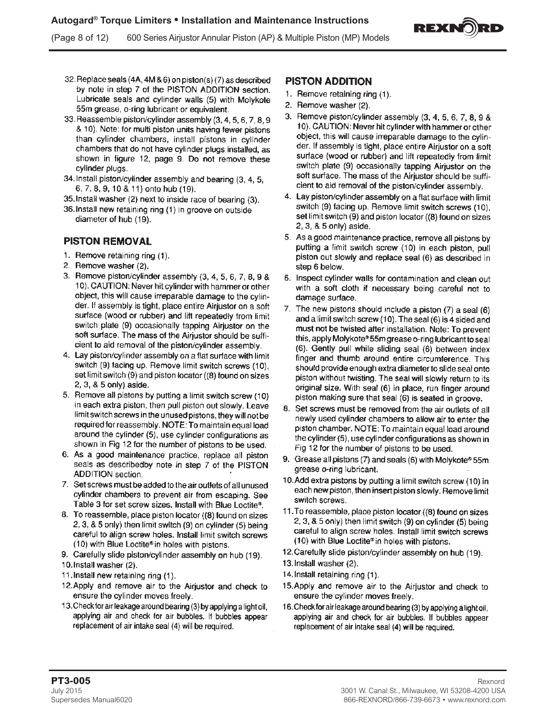REXNO)RD

(Page 8 of 12) 600 Series Airjustor Annular Piston (AP) & Multiple Piston (MP) Models

- 32. Replace seals (4A, 4M & 6) on piston(s) (7) as described by note in step 7 of the PISTON ADDITION section. Lubricate seals and cylinder walls (5) with Molykote 55m grease, o-ring lubricant or equivalent.
- 33. Reassemble piston/cylinder assembly (3, 4, 5, 6, 7, 8, 9 & 10). Note: for multi piston units having fewer pistons than cylinder chambers, install pistons in cylinder chambers that do not have cylinder plugs installed, as shown in figure 12, page 9. Do not remove these cylinder plugs.
- 34. Install piston/cylinder assembly and bearing (3, 4, 5, 6, 7, 8, 9, 10 & 11) onto hub (19).
- 35. Install washer (2) next to inside race of bearing (3).
- 36. Install new retaining ring (1) in groove on outside diameter of hub (19).

## **PISTON REMOVAL**

- 1. Remove retaining ring (1).
- 2. Remove washer (2).
- 3. Remove piston/cylinder assembly (3, 4, 5, 6, 7, 8, 9 & 10). CAUTION: Never hit cylinder with hammer or other object, this will cause irreparable damage to the cylinder. If assembly is tight, place entire Airiustor on a soft surface (wood or rubber) and lift repeatedly from limit switch plate (9) occasionally tapping Airjustor on the soft surface. The mass of the Airjustor should be sufficient to aid removal of the piston/cylinder assembly.
- 4. Lay piston/cylinder assembly on a flat surface with limit switch (9) facing up. Remove limit switch screws (10), set limit switch (9) and piston locator ((8) found on sizes 2, 3, & 5 only) aside.
- 5. Remove all pistons by putting a limit switch screw (10) in each extra piston, then pull piston out slowly. Leave limit switch screws in the unused pistons, they will not be required for reassembly. NOTE: To maintain equal load around the cylinder (5), use cylinder configurations as shown in Fig 12 for the number of pistons to be used.
- 6. As a good maintenance practice, replace all piston seals as describedby note in step 7 of the PISTON **ADDITION** section.
- 7. Set screws must be added to the air outlets of all unused cylinder chambers to prevent air from escaping. See Table 3 for set screw sizes. Install with Blue Loctite®.
- 8. To reassemble, place piston locator ((8) found on sizes 2, 3, & 5 only) then limit switch (9) on cylinder (5) being careful to align screw holes. Install limit switch screws (10) with Blue Loctite® in holes with pistons.
- 9. Carefully slide piston/cylinder assembly on hub (19).
- 10. Install washer (2).
- 11. Install new retaining ring (1).
- 12. Apply and remove air to the Airjustor and check to ensure the cylinder moves freely.
- 13. Check for air leakage around bearing (3) by applying a light oil, applying air and check for air bubbles. If bubbles appear replacement of air intake seal (4) will be required.

## **PISTON ADDITION**

- 1. Remove retaining ring (1).
- 2. Remove washer (2).
- 3. Remove piston/cylinder assembly (3, 4, 5, 6, 7, 8, 9 & 10). CAUTION: Never hit cylinder with hammer or other object, this will cause irreparable damage to the cylinder. If assembly is tight, place entire Airjustor on a soft surface (wood or rubber) and lift repeatedly from limit switch plate (9) occasionally tapping Airjustor on the soft surface. The mass of the Airjustor should be sufficient to aid removal of the piston/cylinder assembly.
- 4. Lay piston/cylinder assembly on a flat surface with limit switch (9) facing up. Remove limit switch screws (10), set limit switch (9) and piston locator ((8) found on sizes 2, 3, & 5 only) aside.
- 5. As a good maintenance practice, remove all pistons by putting a limit switch screw (10) in each piston, pull piston out slowly and replace seal (6) as described in step 6 below.
- 6. Inspect cylinder walls for contamination and clean out with a soft cloth if necessary being careful not to damage surface.
- 7. The new pistons should include a piston (7) a seal (6) and a limit switch screw (10). The seal (6) is 4 sided and must not be twisted after installation. Note: To prevent this, apply Molykote® 55m grease o-ring lubricant to seal (6). Gently pull while sliding seal (6) between index finger and thumb around entire circumference. This should provide enough extra diameter to slide seal onto piston without twisting. The seal will slowly return to its original size. With seal (6) in place, run finger around piston making sure that seal (6) is seated in groove.
- 8. Set screws must be removed from the air outlets of all newly used cylinder chambers to allow air to enter the piston chamber. NOTE: To maintain equal load around the cylinder (5), use cylinder configurations as shown in Fig 12 for the number of pistons to be used.
- 9. Grease all pistons (7) and seals (6) with Molykote® 55m grease o-ring lubricant.
- 10. Add extra pistons by putting a limit switch screw (10) in each new piston, then insert piston slowly. Remove limit switch screws.
- 11. To reassemble, place piston locator ((8) found on sizes 2, 3, & 5 only) then limit switch (9) on cylinder (5) being careful to align screw holes. Install limit switch screws (10) with Blue Loctite® in holes with pistons.
- 12. Carefully slide piston/cylinder assembly on hub (19).
- 13. Install washer (2).
- 14. Install retaining ring (1).
- 15. Apply and remove air to the Airjustor and check to ensure the cylinder moves freely.
- 16. Check for air leakage around bearing (3) by applying a light oil, applying air and check for air bubbles. If bubbles appear replacement of air intake seal (4) will be required.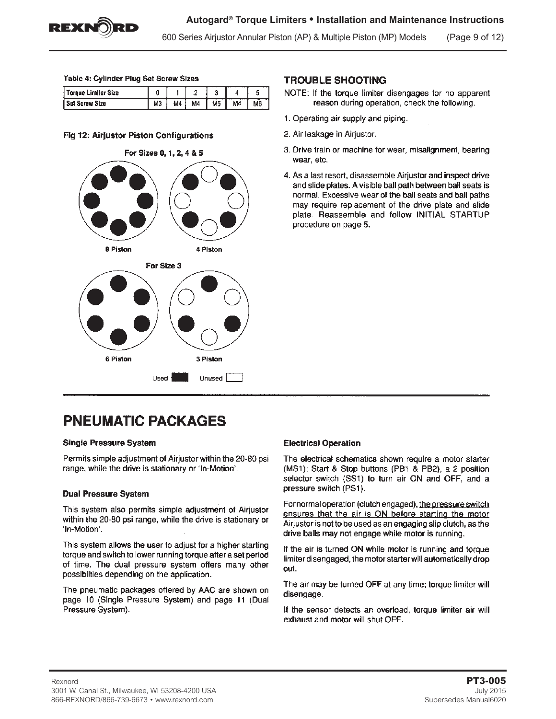

600 Series Airjustor Annular Piston (AP) & Multiple Piston (MP) Models (Page 9 of 12)

#### Table 4: Cylinder Plug Set Screw Sizes

| .<br>oraue Limiter Size |        | وسمعت |    |    |    |  |
|-------------------------|--------|-------|----|----|----|--|
| :rew Size<br>           | <br>MJ | M4    | M4 | M5 | Μ4 |  |

#### Fig 12: Airjustor Piston Configurations



### **TROUBLE SHOOTING**

- NOTE: If the torque limiter disengages for no apparent reason during operation, check the following.
- 1. Operating air supply and piping.
- 2. Air leakage in Airjustor.
- 3. Drive train or machine for wear, misalignment, bearing wear, etc.
- 4. As a last resort, disassemble Airjustor and inspect drive and slide plates. A visible ball path between ball seats is normal. Excessive wear of the ball seats and ball paths may require replacement of the drive plate and slide plate. Reassemble and follow INITIAL STARTUP procedure on page 5.

# **PNEUMATIC PACKAGES**

#### **Single Pressure System**

Permits simple adjustment of Airjustor within the 20-80 psi range, while the drive is stationary or 'In-Motion'.

#### **Dual Pressure System**

This system also permits simple adjustment of Airjustor within the 20-80 psi range, while the drive is stationary or 'In-Motion'.

This system allows the user to adjust for a higher starting torque and switch to lower running torque after a set period of time. The dual pressure system offers many other possibilties depending on the application.

The pneumatic packages offered by AAC are shown on page 10 (Single Pressure System) and page 11 (Dual Pressure System).

#### **Electrical Operation**

The electrical schematics shown require a motor starter (MS1); Start & Stop buttons (PB1 & PB2), a 2 position selector switch (SS1) to turn air ON and OFF, and a pressure switch (PS1).

For normal operation (clutch engaged), the pressure switch ensures that the air is ON before starting the motor Airjustor is not to be used as an engaging slip clutch, as the drive balls may not engage while motor is running.

If the air is turned ON while motor is running and torque limiter disengaged, the motor starter will automatically drop out.

The air may be turned OFF at any time; torque limiter will disengage.

If the sensor detects an overload, torque limiter air will exhaust and motor will shut OFF.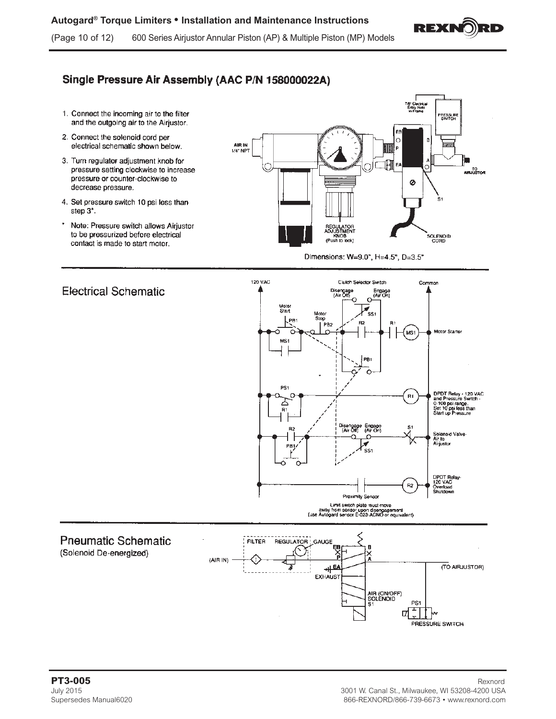

# Single Pressure Air Assembly (AAC P/N 158000022A)

- 1. Connect the incoming air to the filter and the outgoing air to the Airjustor.
- 2. Connect the solenoid cord per electrical schematic shown below.
- 3. Turn regulator adjustment knob for pressure setting clockwise to increase pressure or counter-clockwise to decrease pressure.
- 4. Set pressure switch 10 psi less than step 3\*.
- Note: Pressure switch allows Airjustor to be pressurized before electrical contact is made to start motor.



Dimensions: W=9.0", H=4.5", D=3.5"



#### **PT3-005** Rexnord July 2015 3001 W. Canal St., Milwaukee, WI 53208-4200 USA Supersedes Manual6020 866-REXNORD/866-739-6673 • www.rexnord.com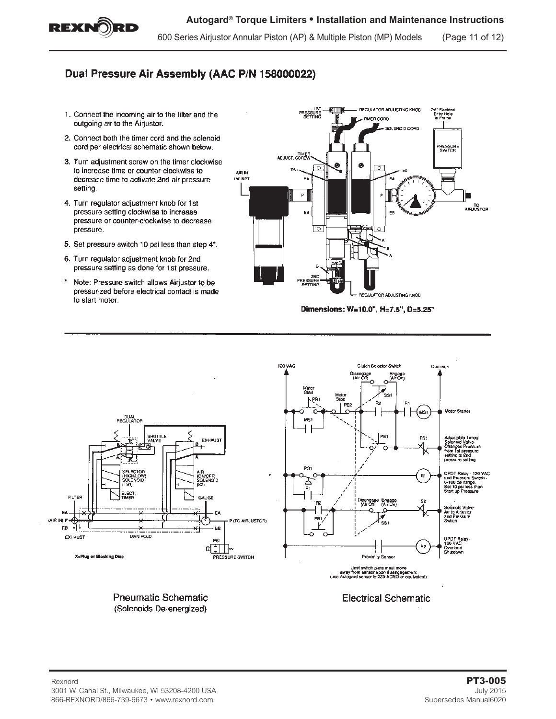

600 Series Airjustor Annular Piston (AP) & Multiple Piston (MP) Models (Page 11 of 12)

## Dual Pressure Air Assembly (AAC P/N 158000022)

- 1. Connect the incoming air to the filter and the outgoing air to the Airjustor.
- 2. Connect both the timer cord and the solenoid cord per electrical schematic shown below.
- 3. Turn adjustment screw on the timer clockwise to increase time or counter-clockwise to decrease time to activate 2nd air pressure setting.
- 4. Turn regulator adjustment knob for 1st pressure setting clockwise to increase pressure or counter-clockwise to decrease pressure.
- 5. Set pressure switch 10 psi less than step 4\*.
- 6. Turn regulator adjustment knob for 2nd pressure setting as done for 1st pressure.
- Note: Pressure switch allows Airjustor to be pressurized before electrical contact is made to start motor.



Dimensions: W=10.0", H=7.5", D=5.25"